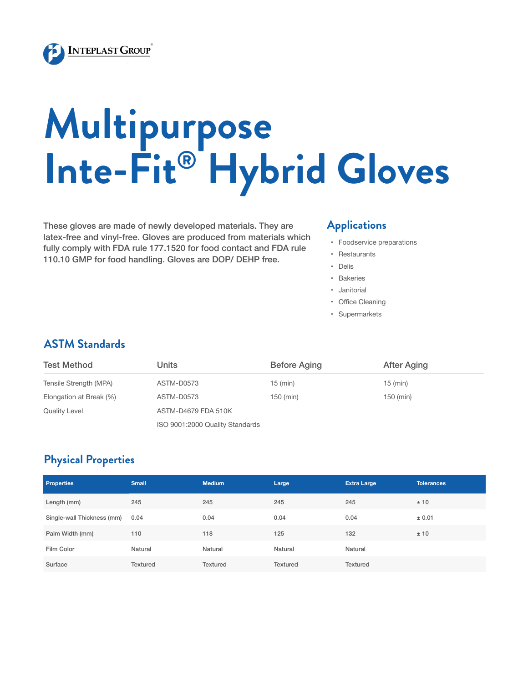

# **Multipurpose Inte-Fit® Hybrid Gloves**

These gloves are made of newly developed materials. They are latex-free and vinyl-free. Gloves are produced from materials which fully comply with FDA rule 177.1520 for food contact and FDA rule 110.10 GMP for food handling. Gloves are DOP/ DEHP free.

#### **Applications**

- • Foodservice preparations
- • Restaurants
- • Delis
- • Bakeries
- • Janitorial
- • Office Cleaning
- • Supermarkets

### **ASTM Standards**

| Test Method             | Units                           | <b>Before Aging</b> | After Aging |  |  |  |
|-------------------------|---------------------------------|---------------------|-------------|--|--|--|
| Tensile Strength (MPA)  | ASTM-D0573                      | $15$ (min)          | $15$ (min)  |  |  |  |
| Elongation at Break (%) | ASTM-D0573                      | 150 (min)           | 150 (min)   |  |  |  |
| <b>Quality Level</b>    | ASTM-D4679 FDA 510K             |                     |             |  |  |  |
|                         | ISO 9001:2000 Quality Standards |                     |             |  |  |  |

## **Physical Properties**

| <b>Properties</b>          | <b>Small</b>    | <b>Medium</b> | Large           | <b>Extra Large</b> | <b>Tolerances</b> |
|----------------------------|-----------------|---------------|-----------------|--------------------|-------------------|
| Length (mm)                | 245             | 245           | 245             | 245                | ±10               |
| Single-wall Thickness (mm) | 0.04            | 0.04          | 0.04            | 0.04               | ± 0.01            |
| Palm Width (mm)            | 110             | 118           | 125             | 132                | ±10               |
| Film Color                 | Natural         | Natural       | Natural         | Natural            |                   |
| Surface                    | <b>Textured</b> | Textured      | <b>Textured</b> | Textured           |                   |